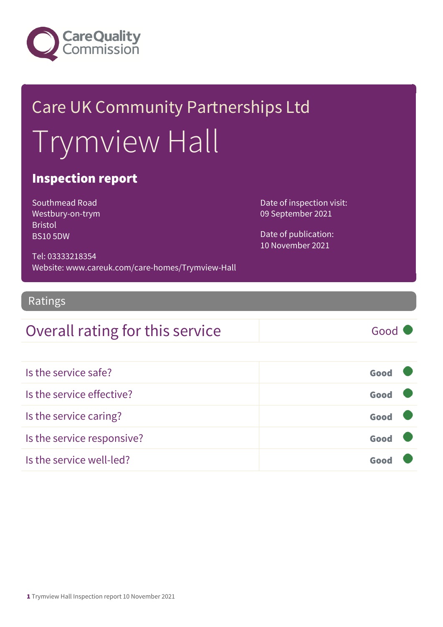

# Care UK Community Partnerships Ltd Trymview Hall

### Inspection report

Southmead Road Westbury-on-trym Bristol BS10 5DW

Date of inspection visit: 09 September 2021

Date of publication: 10 November 2021

Tel: 03333218354 Website: www.careuk.com/care-homes/Trymview-Hall

#### Ratings

### Overall rating for this service Good

| Is the service safe?       | Good |
|----------------------------|------|
| Is the service effective?  | Good |
| Is the service caring?     | Good |
| Is the service responsive? | Good |
| Is the service well-led?   | Goo  |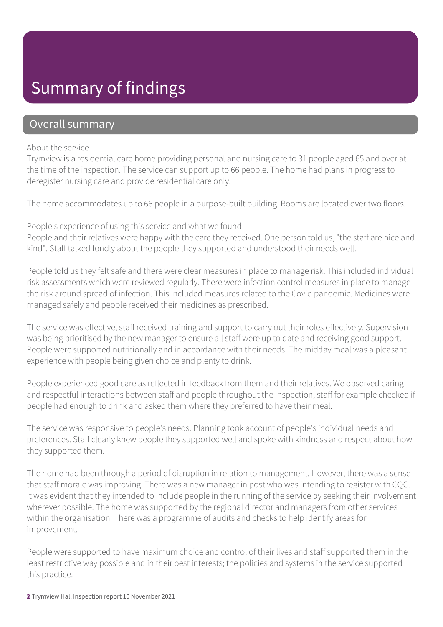### Summary of findings

### Overall summary

#### About the service

Trymview is a residential care home providing personal and nursing care to 31 people aged 65 and over at the time of the inspection. The service can support up to 66 people. The home had plans in progress to deregister nursing care and provide residential care only.

The home accommodates up to 66 people in a purpose-built building. Rooms are located over two floors.

People's experience of using this service and what we found

People and their relatives were happy with the care they received. One person told us, "the staff are nice and kind". Staff talked fondly about the people they supported and understood their needs well.

People told us they felt safe and there were clear measures in place to manage risk. This included individual risk assessments which were reviewed regularly. There were infection control measures in place to manage the risk around spread of infection. This included measures related to the Covid pandemic. Medicines were managed safely and people received their medicines as prescribed.

The service was effective, staff received training and support to carry out their roles effectively. Supervision was being prioritised by the new manager to ensure all staff were up to date and receiving good support. People were supported nutritionally and in accordance with their needs. The midday meal was a pleasant experience with people being given choice and plenty to drink.

People experienced good care as reflected in feedback from them and their relatives. We observed caring and respectful interactions between staff and people throughout the inspection; staff for example checked if people had enough to drink and asked them where they preferred to have their meal.

The service was responsive to people's needs. Planning took account of people's individual needs and preferences. Staff clearly knew people they supported well and spoke with kindness and respect about how they supported them.

The home had been through a period of disruption in relation to management. However, there was a sense that staff morale was improving. There was a new manager in post who was intending to register with CQC. It was evident that they intended to include people in the running of the service by seeking their involvement wherever possible. The home was supported by the regional director and managers from other services within the organisation. There was a programme of audits and checks to help identify areas for improvement.

People were supported to have maximum choice and control of their lives and staff supported them in the least restrictive way possible and in their best interests; the policies and systems in the service supported this practice.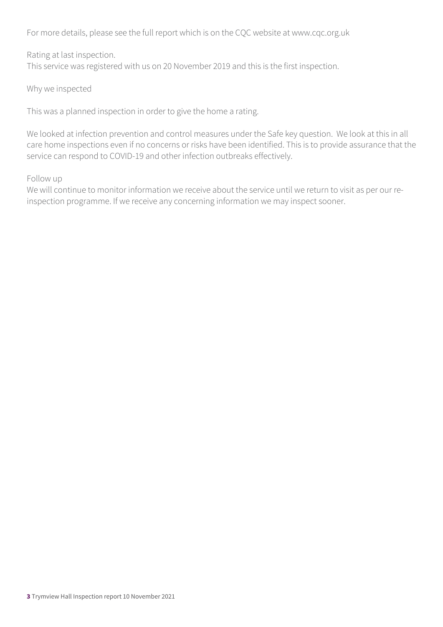For more details, please see the full report which is on the CQC website at www.cqc.org.uk

Rating at last inspection. This service was registered with us on 20 November 2019 and this is the first inspection.

Why we inspected

This was a planned inspection in order to give the home a rating.

We looked at infection prevention and control measures under the Safe key question. We look at this in all care home inspections even if no concerns or risks have been identified. This is to provide assurance that the service can respond to COVID-19 and other infection outbreaks effectively.

Follow up

We will continue to monitor information we receive about the service until we return to visit as per our reinspection programme. If we receive any concerning information we may inspect sooner.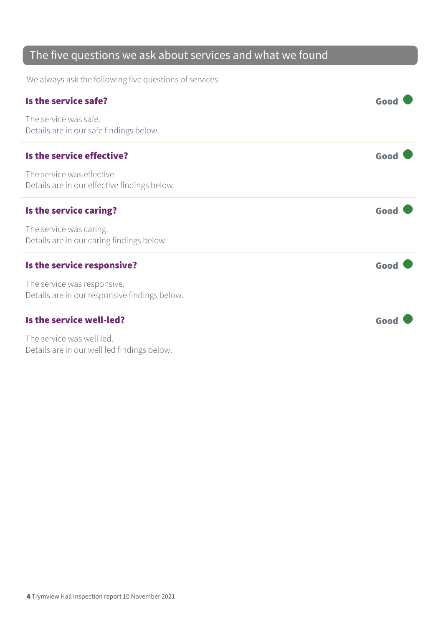### The five questions we ask about services and what we found

We always ask the following five questions of services.

| Is the service safe?                                                         | Good |
|------------------------------------------------------------------------------|------|
| The service was safe.<br>Details are in our safe findings below.             |      |
| Is the service effective?                                                    | Good |
| The service was effective.<br>Details are in our effective findings below.   |      |
| Is the service caring?                                                       | Good |
| The service was caring.<br>Details are in our caring findings below.         |      |
| Is the service responsive?                                                   | Good |
| The service was responsive.<br>Details are in our responsive findings below. |      |
| Is the service well-led?                                                     | Good |
| The service was well led.<br>Details are in our well led findings below.     |      |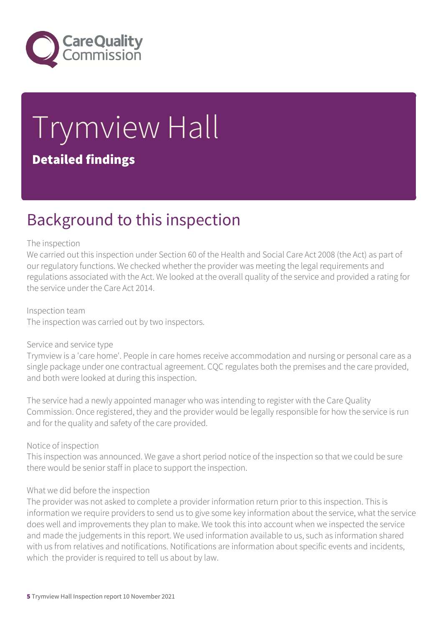

# Trymview Hall Detailed findings

### Background to this inspection

#### The inspection

We carried out this inspection under Section 60 of the Health and Social Care Act 2008 (the Act) as part of our regulatory functions. We checked whether the provider was meeting the legal requirements and regulations associated with the Act. We looked at the overall quality of the service and provided a rating for the service under the Care Act 2014.

Inspection team The inspection was carried out by two inspectors.

#### Service and service type

Trymview is a 'care home'. People in care homes receive accommodation and nursing or personal care as a single package under one contractual agreement. CQC regulates both the premises and the care provided, and both were looked at during this inspection.

The service had a newly appointed manager who was intending to register with the Care Quality Commission. Once registered, they and the provider would be legally responsible for how the service is run and for the quality and safety of the care provided.

Notice of inspection

This inspection was announced. We gave a short period notice of the inspection so that we could be sure there would be senior staff in place to support the inspection.

#### What we did before the inspection

The provider was not asked to complete a provider information return prior to this inspection. This is information we require providers to send us to give some key information about the service, what the service does well and improvements they plan to make. We took this into account when we inspected the service and made the judgements in this report. We used information available to us, such as information shared with us from relatives and notifications. Notifications are information about specific events and incidents, which the provider is required to tell us about by law.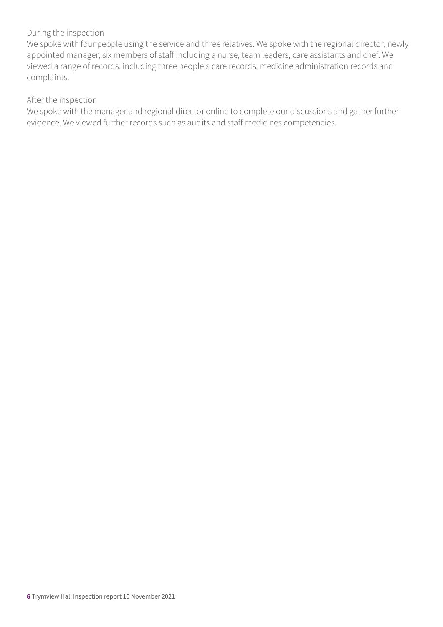#### During the inspection

We spoke with four people using the service and three relatives. We spoke with the regional director, newly appointed manager, six members of staff including a nurse, team leaders, care assistants and chef. We viewed a range of records, including three people's care records, medicine administration records and complaints.

#### After the inspection

We spoke with the manager and regional director online to complete our discussions and gather further evidence. We viewed further records such as audits and staff medicines competencies.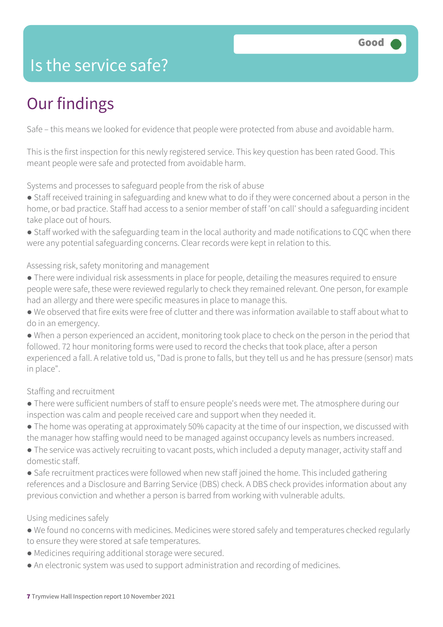### Is the service safe?

# Our findings

Safe – this means we looked for evidence that people were protected from abuse and avoidable harm.

This is the first inspection for this newly registered service. This key question has been rated Good. This meant people were safe and protected from avoidable harm.

Systems and processes to safeguard people from the risk of abuse

● Staff received training in safeguarding and knew what to do if they were concerned about a person in the home, or bad practice. Staff had access to a senior member of staff 'on call' should a safeguarding incident take place out of hours.

● Staff worked with the safeguarding team in the local authority and made notifications to CQC when there were any potential safeguarding concerns. Clear records were kept in relation to this.

#### Assessing risk, safety monitoring and management

- There were individual risk assessments in place for people, detailing the measures required to ensure people were safe, these were reviewed regularly to check they remained relevant. One person, for example had an allergy and there were specific measures in place to manage this.
- We observed that fire exits were free of clutter and there was information available to staff about what to do in an emergency.
- When a person experienced an accident, monitoring took place to check on the person in the period that followed. 72 hour monitoring forms were used to record the checks that took place, after a person experienced a fall. A relative told us, "Dad is prone to falls, but they tell us and he has pressure (sensor) mats in place".

#### Staffing and recruitment

- There were sufficient numbers of staff to ensure people's needs were met. The atmosphere during our inspection was calm and people received care and support when they needed it.
- The home was operating at approximately 50% capacity at the time of our inspection, we discussed with the manager how staffing would need to be managed against occupancy levels as numbers increased.
- The service was actively recruiting to vacant posts, which included a deputy manager, activity staff and domestic staff.
- Safe recruitment practices were followed when new staff joined the home. This included gathering references and a Disclosure and Barring Service (DBS) check. A DBS check provides information about any previous conviction and whether a person is barred from working with vulnerable adults.

#### Using medicines safely

- We found no concerns with medicines. Medicines were stored safely and temperatures checked regularly to ensure they were stored at safe temperatures.
- Medicines requiring additional storage were secured.
- An electronic system was used to support administration and recording of medicines.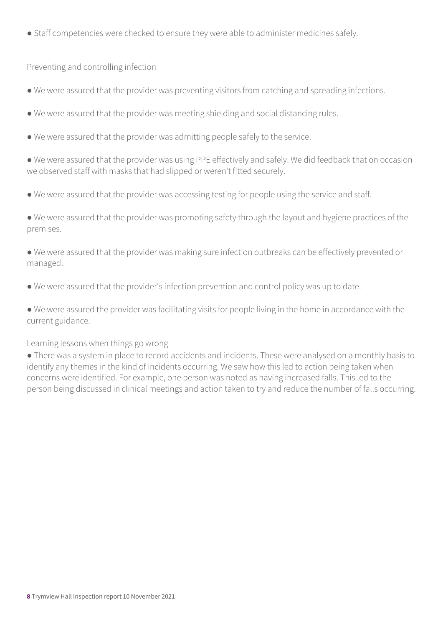● Staff competencies were checked to ensure they were able to administer medicines safely.

Preventing and controlling infection

- We were assured that the provider was preventing visitors from catching and spreading infections.
- We were assured that the provider was meeting shielding and social distancing rules.
- We were assured that the provider was admitting people safely to the service.
- We were assured that the provider was using PPE effectively and safely. We did feedback that on occasion we observed staff with masks that had slipped or weren't fitted securely.
- We were assured that the provider was accessing testing for people using the service and staff.

● We were assured that the provider was promoting safety through the layout and hygiene practices of the premises.

● We were assured that the provider was making sure infection outbreaks can be effectively prevented or managed.

● We were assured that the provider's infection prevention and control policy was up to date.

● We were assured the provider was facilitating visits for people living in the home in accordance with the current guidance.

#### Learning lessons when things go wrong

● There was a system in place to record accidents and incidents. These were analysed on a monthly basis to identify any themes in the kind of incidents occurring. We saw how this led to action being taken when concerns were identified. For example, one person was noted as having increased falls. This led to the person being discussed in clinical meetings and action taken to try and reduce the number of falls occurring.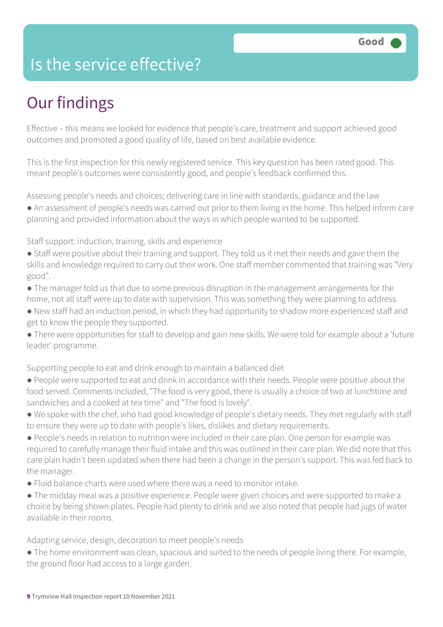### Is the service effective?

## Our findings

Effective – this means we looked for evidence that people's care, treatment and support achieved good outcomes and promoted a good quality of life, based on best available evidence.

This is the first inspection for this newly registered service. This key question has been rated good. This meant people's outcomes were consistently good, and people's feedback confirmed this.

Assessing people's needs and choices; delivering care in line with standards, guidance and the law

● An assessment of people's needs was carried out prior to them living in the home. This helped inform care planning and provided information about the ways in which people wanted to be supported.

Staff support: induction, training, skills and experience

- Staff were positive about their training and support. They told us it met their needs and gave them the skills and knowledge required to carry out their work. One staff member commented that training was "Very good".
- The manager told us that due to some previous disruption in the management arrangements for the home, not all staff were up to date with supervision. This was something they were planning to address.
- New staff had an induction period, in which they had opportunity to shadow more experienced staff and get to know the people they supported.
- There were opportunities for staff to develop and gain new skills. We were told for example about a 'future leader' programme.

Supporting people to eat and drink enough to maintain a balanced diet

- People were supported to eat and drink in accordance with their needs. People were positive about the food served. Comments included, "The food is very good, there is usually a choice of two at lunchtime and sandwiches and a cooked at tea time" and "The food is lovely".
- We spoke with the chef, who had good knowledge of people's dietary needs. They met regularly with staff to ensure they were up to date with people's likes, dislikes and dietary requirements.
- People's needs in relation to nutrition were included in their care plan. One person for example was required to carefully manage their fluid intake and this was outlined in their care plan. We did note that this care plan hadn't been updated when there had been a change in the person's support. This was fed back to the manager.
- $\bullet$  Fluid balance charts were used where there was a need to monitor intake.
- The midday meal was a positive experience. People were given choices and were supported to make a choice by being shown plates. People had plenty to drink and we also noted that people had jugs of water available in their rooms.

Adapting service, design, decoration to meet people's needs

• The home environment was clean, spacious and suited to the needs of people living there. For example, the ground floor had access to a large garden.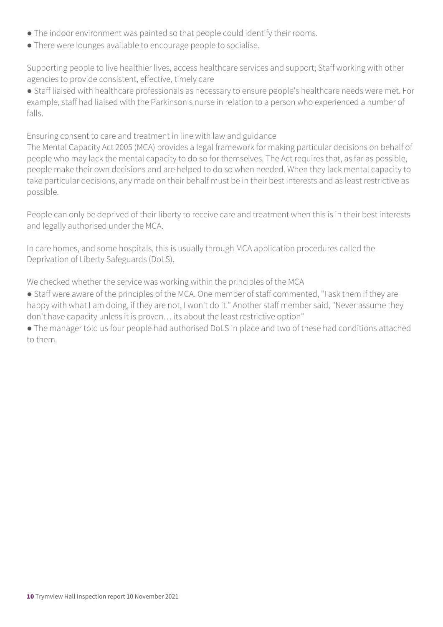- The indoor environment was painted so that people could identify their rooms.
- There were lounges available to encourage people to socialise.

Supporting people to live healthier lives, access healthcare services and support; Staff working with other agencies to provide consistent, effective, timely care

● Staff liaised with healthcare professionals as necessary to ensure people's healthcare needs were met. For example, staff had liaised with the Parkinson's nurse in relation to a person who experienced a number of falls.

Ensuring consent to care and treatment in line with law and guidance

The Mental Capacity Act 2005 (MCA) provides a legal framework for making particular decisions on behalf of people who may lack the mental capacity to do so for themselves. The Act requires that, as far as possible, people make their own decisions and are helped to do so when needed. When they lack mental capacity to take particular decisions, any made on their behalf must be in their best interests and as least restrictive as possible.

People can only be deprived of their liberty to receive care and treatment when this is in their best interests and legally authorised under the MCA.

In care homes, and some hospitals, this is usually through MCA application procedures called the Deprivation of Liberty Safeguards (DoLS).

We checked whether the service was working within the principles of the MCA

- Staff were aware of the principles of the MCA. One member of staff commented, "I ask them if they are happy with what I am doing, if they are not, I won't do it." Another staff member said, "Never assume they don't have capacity unless it is proven… its about the least restrictive option"
- The manager told us four people had authorised DoLS in place and two of these had conditions attached to them.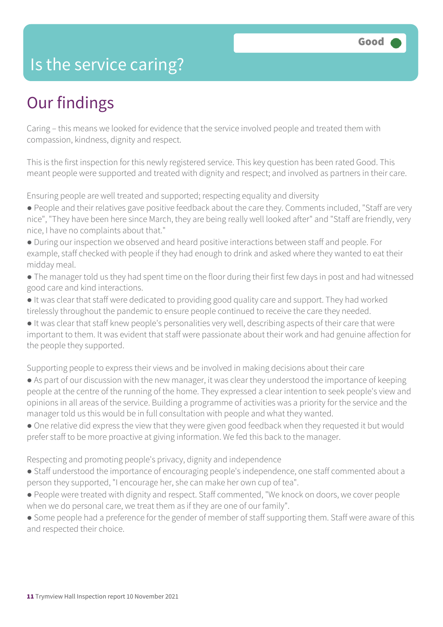### Is the service caring?

### Our findings

Caring – this means we looked for evidence that the service involved people and treated them with compassion, kindness, dignity and respect.

This is the first inspection for this newly registered service. This key question has been rated Good. This meant people were supported and treated with dignity and respect; and involved as partners in their care.

Ensuring people are well treated and supported; respecting equality and diversity

- People and their relatives gave positive feedback about the care they. Comments included, "Staff are very nice", "They have been here since March, they are being really well looked after" and "Staff are friendly, very nice, I have no complaints about that."
- During our inspection we observed and heard positive interactions between staff and people. For example, staff checked with people if they had enough to drink and asked where they wanted to eat their midday meal.
- The manager told us they had spent time on the floor during their first few days in post and had witnessed good care and kind interactions.
- It was clear that staff were dedicated to providing good quality care and support. They had worked tirelessly throughout the pandemic to ensure people continued to receive the care they needed.
- It was clear that staff knew people's personalities very well, describing aspects of their care that were important to them. It was evident that staff were passionate about their work and had genuine affection for the people they supported.

Supporting people to express their views and be involved in making decisions about their care

- As part of our discussion with the new manager, it was clear they understood the importance of keeping people at the centre of the running of the home. They expressed a clear intention to seek people's view and opinions in all areas of the service. Building a programme of activities was a priority for the service and the manager told us this would be in full consultation with people and what they wanted.
- One relative did express the view that they were given good feedback when they requested it but would prefer staff to be more proactive at giving information. We fed this back to the manager.

Respecting and promoting people's privacy, dignity and independence

- Staff understood the importance of encouraging people's independence, one staff commented about a person they supported, "I encourage her, she can make her own cup of tea".
- People were treated with dignity and respect. Staff commented, "We knock on doors, we cover people when we do personal care, we treat them as if they are one of our family".
- Some people had a preference for the gender of member of staff supporting them. Staff were aware of this and respected their choice.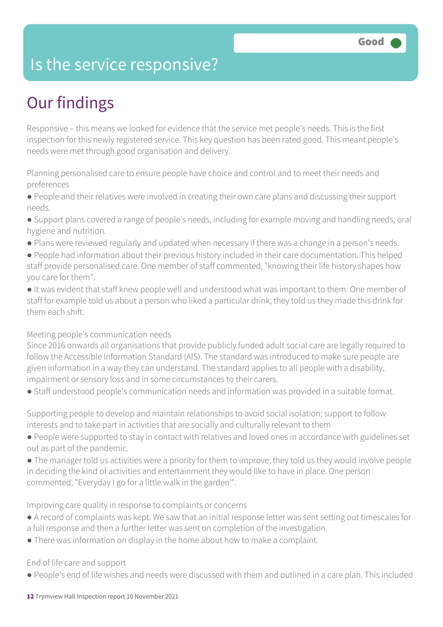### Is the service responsive?

# Our findings

Responsive – this means we looked for evidence that the service met people's needs. This is the first inspection for this newly registered service. This key question has been rated good. This meant people's needs were met through good organisation and delivery.

Planning personalised care to ensure people have choice and control and to meet their needs and preferences

● People and their relatives were involved in creating their own care plans and discussing their support needs.

● Support plans covered a range of people's needs, including for example moving and handling needs, oral hygiene and nutrition.

- Plans were reviewed regularly and updated when necessary if there was a change in a person's needs.
- People had information about their previous history included in their care documentation. This helped staff provide personalised care. One member of staff commented, "knowing their life history shapes how you care for them".

● It was evident that staff knew people well and understood what was important to them. One member of staff for example told us about a person who liked a particular drink; they told us they made this drink for them each shift.

#### Meeting people's communication needs

Since 2016 onwards all organisations that provide publicly funded adult social care are legally required to follow the Accessible Information Standard (AIS). The standard was introduced to make sure people are given information in a way they can understand. The standard applies to all people with a disability, impairment or sensory loss and in some circumstances to their carers.

● Staff understood people's communication needs and information was provided in a suitable format.

Supporting people to develop and maintain relationships to avoid social isolation; support to follow interests and to take part in activities that are socially and culturally relevant to them

- People were supported to stay in contact with relatives and loved ones in accordance with guidelines set out as part of the pandemic.
- The manager told us activities were a priority for them to improve; they told us they would involve people in deciding the kind of activities and entertainment they would like to have in place. One person commented, "Everyday I go for a little walk in the garden'".

Improving care quality in response to complaints or concerns

- A record of complaints was kept. We saw that an initial response letter was sent setting out timescales for a full response and then a further letter was sent on completion of the investigation.
- There was information on display in the home about how to make a complaint.

#### End of life care and support

● People's end of life wishes and needs were discussed with them and outlined in a care plan. This included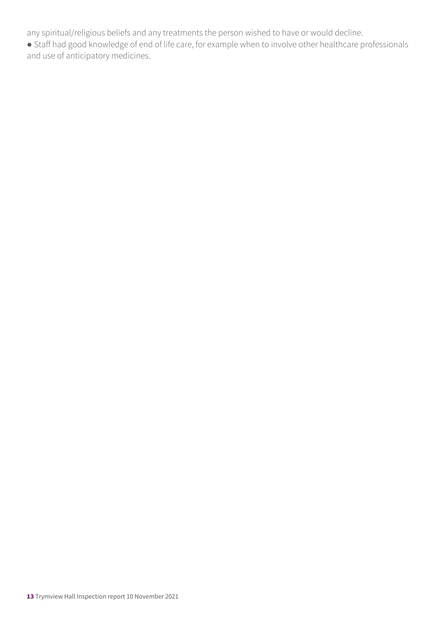any spiritual/religious beliefs and any treatments the person wished to have or would decline.

● Staff had good knowledge of end of life care, for example when to involve other healthcare professionals and use of anticipatory medicines.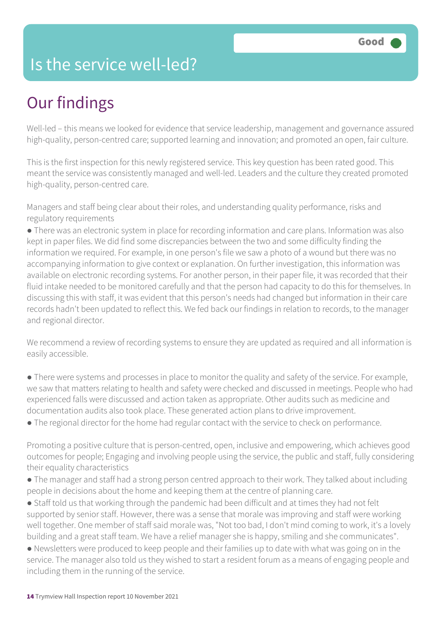### Is the service well-led?

# Our findings

Well-led – this means we looked for evidence that service leadership, management and governance assured high-quality, person-centred care; supported learning and innovation; and promoted an open, fair culture.

This is the first inspection for this newly registered service. This key question has been rated good. This meant the service was consistently managed and well-led. Leaders and the culture they created promoted high-quality, person-centred care.

Managers and staff being clear about their roles, and understanding quality performance, risks and regulatory requirements

● There was an electronic system in place for recording information and care plans. Information was also kept in paper files. We did find some discrepancies between the two and some difficulty finding the information we required. For example, in one person's file we saw a photo of a wound but there was no accompanying information to give context or explanation. On further investigation, this information was available on electronic recording systems. For another person, in their paper file, it was recorded that their fluid intake needed to be monitored carefully and that the person had capacity to do this for themselves. In discussing this with staff, it was evident that this person's needs had changed but information in their care records hadn't been updated to reflect this. We fed back our findings in relation to records, to the manager and regional director.

We recommend a review of recording systems to ensure they are updated as required and all information is easily accessible.

- There were systems and processes in place to monitor the quality and safety of the service. For example, we saw that matters relating to health and safety were checked and discussed in meetings. People who had experienced falls were discussed and action taken as appropriate. Other audits such as medicine and documentation audits also took place. These generated action plans to drive improvement.
- The regional director for the home had regular contact with the service to check on performance.

Promoting a positive culture that is person-centred, open, inclusive and empowering, which achieves good outcomes for people; Engaging and involving people using the service, the public and staff, fully considering their equality characteristics

- The manager and staff had a strong person centred approach to their work. They talked about including people in decisions about the home and keeping them at the centre of planning care.
- Staff told us that working through the pandemic had been difficult and at times they had not felt supported by senior staff. However, there was a sense that morale was improving and staff were working well together. One member of staff said morale was, "Not too bad, I don't mind coming to work, it's a lovely building and a great staff team. We have a relief manager she is happy, smiling and she communicates".

● Newsletters were produced to keep people and their families up to date with what was going on in the service. The manager also told us they wished to start a resident forum as a means of engaging people and including them in the running of the service.